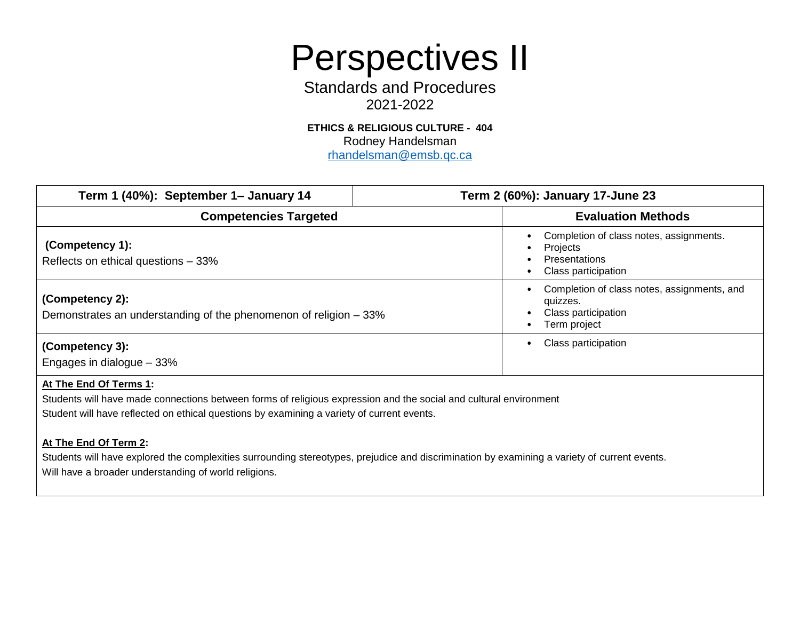#### Standards and Procedures 2021-2022

**ETHICS & RELIGIOUS CULTURE - 404** Rodney Handelsman [rhandelsman@emsb.qc.ca](mailto:Rhandelsman@emsb.qc.ca)

| Term 1 (40%): September 1– January 14                                                                                                       | Term 2 (60%): January 17-June 23                                                               |
|---------------------------------------------------------------------------------------------------------------------------------------------|------------------------------------------------------------------------------------------------|
| <b>Competencies Targeted</b>                                                                                                                | <b>Evaluation Methods</b>                                                                      |
| (Competency 1):<br>Reflects on ethical questions - 33%                                                                                      | Completion of class notes, assignments.<br>Projects<br>Presentations<br>Class participation    |
| (Competency 2):<br>Demonstrates an understanding of the phenomenon of religion – 33%                                                        | Completion of class notes, assignments, and<br>quizzes.<br>Class participation<br>Term project |
| (Competency 3):<br>Engages in dialogue $-33%$                                                                                               | Class participation                                                                            |
| At The End Of Terms 1:<br>Students will have made connections between forms of religious expression and the social and cultural environment |                                                                                                |

Student will have reflected on ethical questions by examining a variety of current events.

#### **At The End Of Term 2:**

Students will have explored the complexities surrounding stereotypes, prejudice and discrimination by examining a variety of current events. Will have a broader understanding of world religions.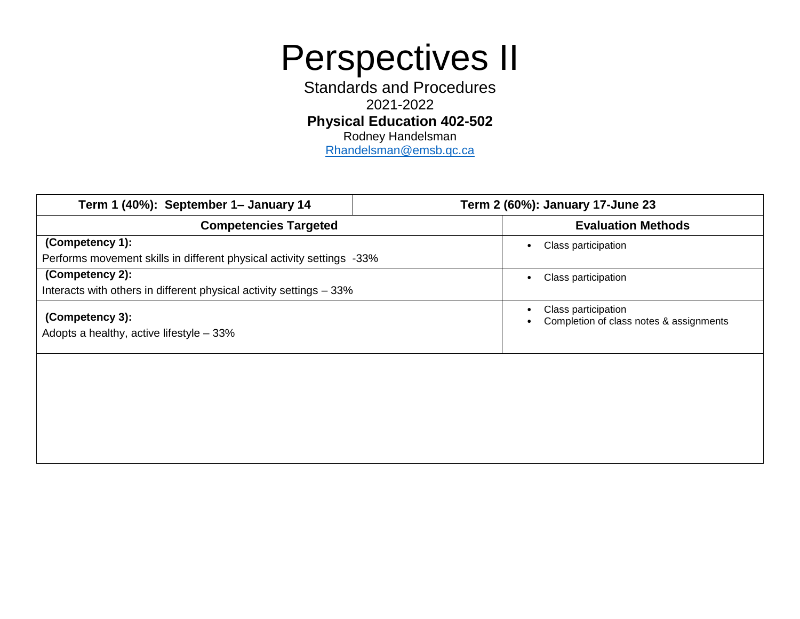Standards and Procedures 2021-2022 **Physical Education 402-502** Rodney Handelsman [Rhandelsman@emsb.qc.ca](mailto:Pstewart-reid@emsb.qc.ca)

| Term 1 (40%): September 1– January 14                                                                           | Term 2 (60%): January 17-June 23                               |
|-----------------------------------------------------------------------------------------------------------------|----------------------------------------------------------------|
| <b>Competencies Targeted</b>                                                                                    | <b>Evaluation Methods</b>                                      |
| (Competency 1):<br>Class participation<br>Performs movement skills in different physical activity settings -33% |                                                                |
| (Competency 2):<br>Interacts with others in different physical activity settings - 33%                          | Class participation                                            |
| (Competency 3):<br>Adopts a healthy, active lifestyle - 33%                                                     | Class participation<br>Completion of class notes & assignments |
|                                                                                                                 |                                                                |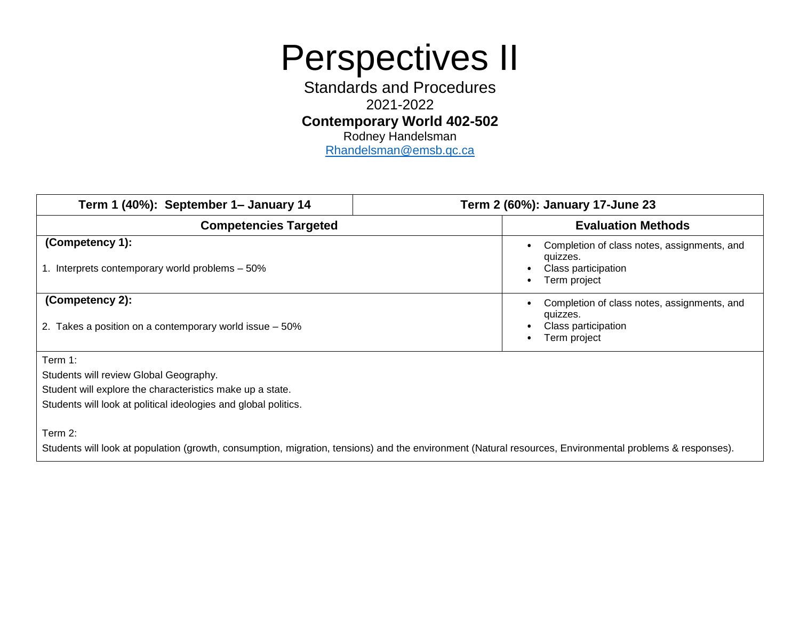Standards and Procedures 2021-2022 **Contemporary World 402-502**

Rodney Handelsman

[Rhandelsman@emsb.qc.ca](mailto:Pstewart-reid@emsb.qc.ca)

| Term 1 (40%): September 1– January 14                                                                                                                                             | Term 2 (60%): January 17-June 23                                                                                                                         |
|-----------------------------------------------------------------------------------------------------------------------------------------------------------------------------------|----------------------------------------------------------------------------------------------------------------------------------------------------------|
| <b>Competencies Targeted</b>                                                                                                                                                      | <b>Evaluation Methods</b>                                                                                                                                |
| (Competency 1):<br>1. Interprets contemporary world problems – 50%                                                                                                                | Completion of class notes, assignments, and<br>$\bullet$<br>quizzes.<br>Class participation<br>Term project<br>$\bullet$                                 |
| (Competency 2):<br>2. Takes a position on a contemporary world issue – 50%                                                                                                        | Completion of class notes, assignments, and<br>$\bullet$<br>quizzes.<br>Class participation<br>٠<br>Term project<br>$\bullet$                            |
| Term 1:<br>Students will review Global Geography.<br>Student will explore the characteristics make up a state.<br>Students will look at political ideologies and global politics. |                                                                                                                                                          |
| Term 2:                                                                                                                                                                           | Students will look at population (growth, consumption, migration, tensions) and the environment (Natural resources, Environmental problems & responses). |